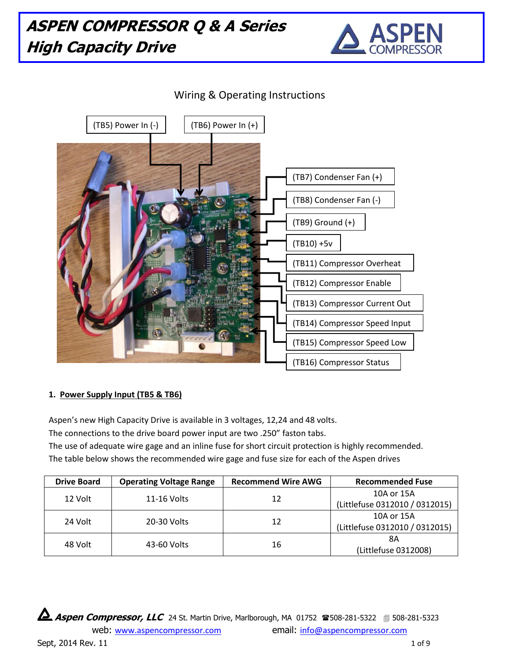

## Wiring & Operating Instructions



#### **1. Power Supply Input (TB5 & TB6)**

Aspen's new High Capacity Drive is available in 3 voltages, 12,24 and 48 volts.

The connections to the drive board power input are two .250" faston tabs.

The use of adequate wire gage and an inline fuse for short circuit protection is highly recommended.

The table below shows the recommended wire gage and fuse size for each of the Aspen drives

| <b>Drive Board</b> | <b>Operating Voltage Range</b> | <b>Recommend Wire AWG</b> | <b>Recommended Fuse</b>        |
|--------------------|--------------------------------|---------------------------|--------------------------------|
| 12 Volt            | 11-16 Volts                    | 12                        | 10A or 15A                     |
|                    |                                |                           | (Littlefuse 0312010 / 0312015) |
| 24 Volt            | 20-30 Volts                    | 12                        | 10A or 15A                     |
|                    |                                |                           | (Littlefuse 0312010 / 0312015) |
| 48 Volt            | 43-60 Volts                    | 16                        | 8Α                             |
|                    |                                |                           | (Littlefuse 0312008)           |

**Aspen Compressor, LLC** 24 St. Martin Drive, Marlborough, MA 01752 **2508-281-5322 508-281-5323** 

web: [www.aspencompressor.com](http://www.aspencompressor.com/) email: [info@aspencompressor.com](mailto:ckienzle@bellsouth.net) Sept,  $2014$  Rev. 11  $1069$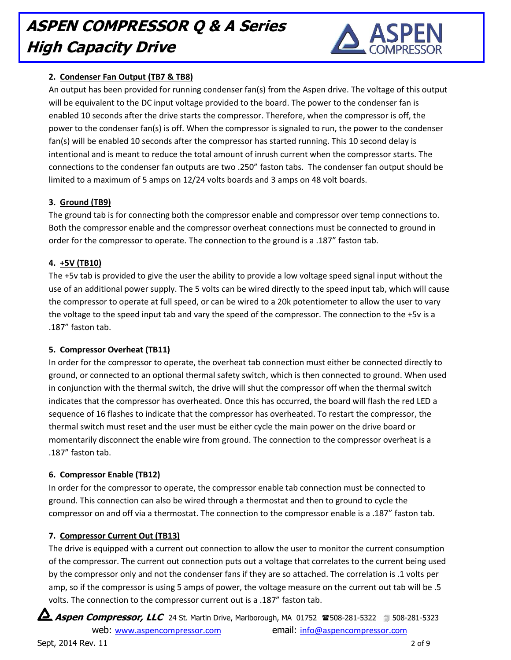

### **2. Condenser Fan Output (TB7 & TB8)**

An output has been provided for running condenser fan(s) from the Aspen drive. The voltage of this output will be equivalent to the DC input voltage provided to the board. The power to the condenser fan is enabled 10 seconds after the drive starts the compressor. Therefore, when the compressor is off, the power to the condenser fan(s) is off. When the compressor is signaled to run, the power to the condenser fan(s) will be enabled 10 seconds after the compressor has started running. This 10 second delay is intentional and is meant to reduce the total amount of inrush current when the compressor starts. The connections to the condenser fan outputs are two .250" faston tabs. The condenser fan output should be limited to a maximum of 5 amps on 12/24 volts boards and 3 amps on 48 volt boards.

#### **3. Ground (TB9)**

The ground tab is for connecting both the compressor enable and compressor over temp connections to. Both the compressor enable and the compressor overheat connections must be connected to ground in order for the compressor to operate. The connection to the ground is a .187" faston tab.

#### **4. +5V (TB10)**

The +5v tab is provided to give the user the ability to provide a low voltage speed signal input without the use of an additional power supply. The 5 volts can be wired directly to the speed input tab, which will cause the compressor to operate at full speed, or can be wired to a 20k potentiometer to allow the user to vary the voltage to the speed input tab and vary the speed of the compressor. The connection to the +5v is a .187" faston tab.

#### **5. Compressor Overheat (TB11)**

In order for the compressor to operate, the overheat tab connection must either be connected directly to ground, or connected to an optional thermal safety switch, which is then connected to ground. When used in conjunction with the thermal switch, the drive will shut the compressor off when the thermal switch indicates that the compressor has overheated. Once this has occurred, the board will flash the red LED a sequence of 16 flashes to indicate that the compressor has overheated. To restart the compressor, the thermal switch must reset and the user must be either cycle the main power on the drive board or momentarily disconnect the enable wire from ground. The connection to the compressor overheat is a .187" faston tab.

### **6. Compressor Enable (TB12)**

In order for the compressor to operate, the compressor enable tab connection must be connected to ground. This connection can also be wired through a thermostat and then to ground to cycle the compressor on and off via a thermostat. The connection to the compressor enable is a .187" faston tab.

#### **7. Compressor Current Out (TB13)**

The drive is equipped with a current out connection to allow the user to monitor the current consumption of the compressor. The current out connection puts out a voltage that correlates to the current being used by the compressor only and not the condenser fans if they are so attached. The correlation is .1 volts per amp, so if the compressor is using 5 amps of power, the voltage measure on the current out tab will be .5 volts. The connection to the compressor current out is a .187" faston tab.

**Aspen Compressor, LLC** 24 St. Martin Drive, Marlborough, MA 01752 508-281-5322 508-281-5323

web: [www.aspencompressor.com](http://www.aspencompressor.com/) email: [info@aspencompressor.com](mailto:ckienzle@bellsouth.net)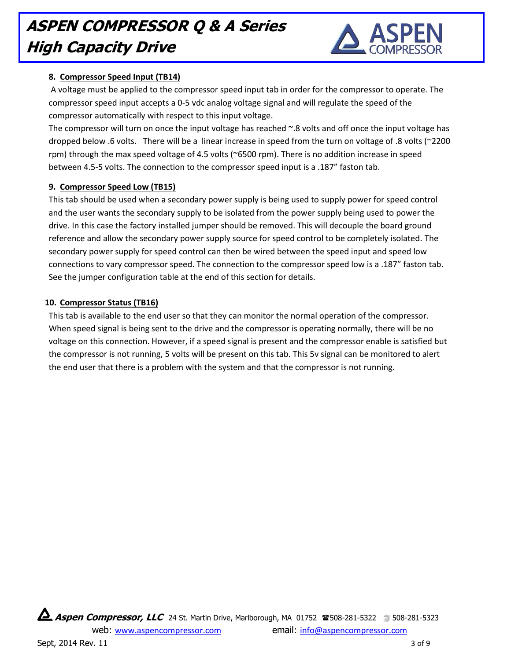

#### **8. Compressor Speed Input (TB14)**

A voltage must be applied to the compressor speed input tab in order for the compressor to operate. The compressor speed input accepts a 0-5 vdc analog voltage signal and will regulate the speed of the compressor automatically with respect to this input voltage.

The compressor will turn on once the input voltage has reached ~.8 volts and off once the input voltage has dropped below .6 volts. There will be a linear increase in speed from the turn on voltage of .8 volts (~2200 rpm) through the max speed voltage of 4.5 volts (~6500 rpm). There is no addition increase in speed between 4.5-5 volts. The connection to the compressor speed input is a .187" faston tab.

#### **9. Compressor Speed Low (TB15)**

This tab should be used when a secondary power supply is being used to supply power for speed control and the user wants the secondary supply to be isolated from the power supply being used to power the drive. In this case the factory installed jumper should be removed. This will decouple the board ground reference and allow the secondary power supply source for speed control to be completely isolated. The secondary power supply for speed control can then be wired between the speed input and speed low connections to vary compressor speed. The connection to the compressor speed low is a .187" faston tab. See the jumper configuration table at the end of this section for details.

#### **10. Compressor Status (TB16)**

This tab is available to the end user so that they can monitor the normal operation of the compressor. When speed signal is being sent to the drive and the compressor is operating normally, there will be no voltage on this connection. However, if a speed signal is present and the compressor enable is satisfied but the compressor is not running, 5 volts will be present on this tab. This 5v signal can be monitored to alert the end user that there is a problem with the system and that the compressor is not running.

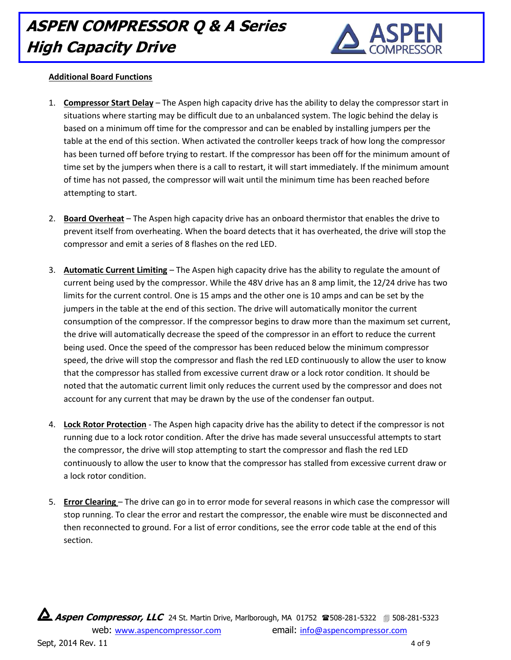

#### **Additional Board Functions**

- 1. **Compressor Start Delay** The Aspen high capacity drive has the ability to delay the compressor start in situations where starting may be difficult due to an unbalanced system. The logic behind the delay is based on a minimum off time for the compressor and can be enabled by installing jumpers per the table at the end of this section. When activated the controller keeps track of how long the compressor has been turned off before trying to restart. If the compressor has been off for the minimum amount of time set by the jumpers when there is a call to restart, it will start immediately. If the minimum amount of time has not passed, the compressor will wait until the minimum time has been reached before attempting to start.
- 2. **Board Overheat** The Aspen high capacity drive has an onboard thermistor that enables the drive to prevent itself from overheating. When the board detects that it has overheated, the drive will stop the compressor and emit a series of 8 flashes on the red LED.
- 3. **Automatic Current Limiting** The Aspen high capacity drive has the ability to regulate the amount of current being used by the compressor. While the 48V drive has an 8 amp limit, the 12/24 drive has two limits for the current control. One is 15 amps and the other one is 10 amps and can be set by the jumpers in the table at the end of this section. The drive will automatically monitor the current consumption of the compressor. If the compressor begins to draw more than the maximum set current, the drive will automatically decrease the speed of the compressor in an effort to reduce the current being used. Once the speed of the compressor has been reduced below the minimum compressor speed, the drive will stop the compressor and flash the red LED continuously to allow the user to know that the compressor has stalled from excessive current draw or a lock rotor condition. It should be noted that the automatic current limit only reduces the current used by the compressor and does not account for any current that may be drawn by the use of the condenser fan output.
- 4. **Lock Rotor Protection** The Aspen high capacity drive has the ability to detect if the compressor is not running due to a lock rotor condition. After the drive has made several unsuccessful attempts to start the compressor, the drive will stop attempting to start the compressor and flash the red LED continuously to allow the user to know that the compressor has stalled from excessive current draw or a lock rotor condition.
- 5. **Error Clearing**  The drive can go in to error mode for several reasons in which case the compressor will stop running. To clear the error and restart the compressor, the enable wire must be disconnected and then reconnected to ground. For a list of error conditions, see the error code table at the end of this section.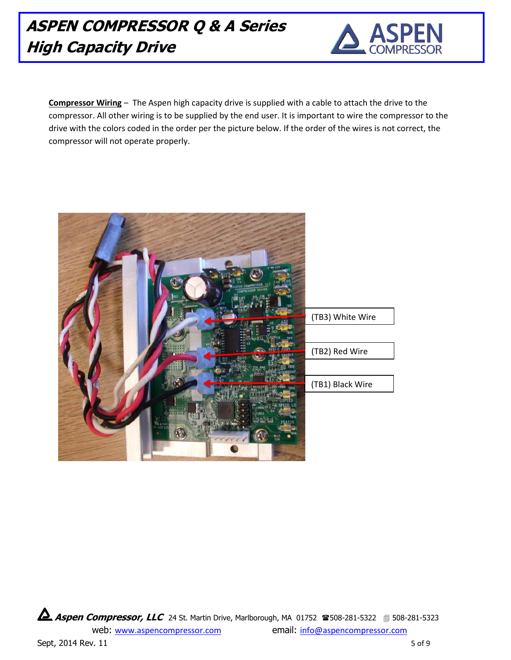

**Compressor Wiring** – The Aspen high capacity drive is supplied with a cable to attach the drive to the compressor. All other wiring is to be supplied by the end user. It is important to wire the compressor to the drive with the colors coded in the order per the picture below. If the order of the wires is not correct, the compressor will not operate properly.



**Aspen Compressor, LLC** 24 St. Martin Drive, Marlborough, MA 01752 <sup>2</sup>8508-281-5322 **1**508-281-5323

web: [www.aspencompressor.com](http://www.aspencompressor.com/) email: [info@aspencompressor.com](mailto:ckienzle@bellsouth.net)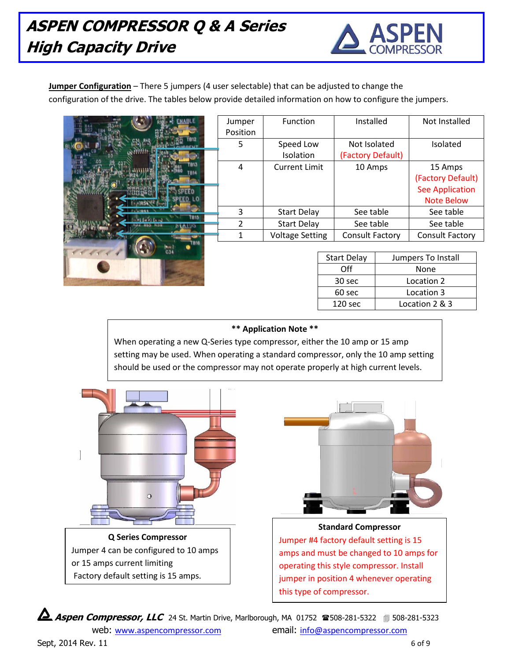

**Jumper Configuration** – There 5 jumpers (4 user selectable) that can be adjusted to change the configuration of the drive. The tables below provide detailed information on how to configure the jumpers.

|      | Jumper<br>Position | Function                      | Installed                         | Not Installed                               |
|------|--------------------|-------------------------------|-----------------------------------|---------------------------------------------|
|      | 5                  | Speed Low<br><b>Isolation</b> | Not Isolated<br>(Factory Default) | Isolated                                    |
| '013 | 4                  | <b>Current Limit</b>          | 10 Amps                           | 15 Amps<br>(Factory Default)                |
|      |                    |                               |                                   | <b>See Application</b><br><b>Note Below</b> |
| 7815 | 3                  | <b>Start Delay</b>            | See table                         | See table                                   |
|      |                    | <b>Start Delay</b>            | See table                         | See table                                   |
|      |                    | <b>Voltage Setting</b>        | Consult Factory                   | <b>Consult Factory</b>                      |
|      |                    |                               |                                   |                                             |

| <b>Start Delay</b>   | Jumpers To Install |  |
|----------------------|--------------------|--|
| ∩ff                  | None               |  |
| 30 sec               | Location 2         |  |
| 60 sec<br>Location 3 |                    |  |
| 120 <sub>sec</sub>   | Location 2 & 3     |  |

#### **\*\* Application Note \*\***

When operating a new Q-Series type compressor, either the 10 amp or 15 amp setting may be used. When operating a standard compressor, only the 10 amp setting should be used or the compressor may not operate properly at high current levels.





**Standard Compressor** Jumper #4 factory default setting is 15 amps and must be changed to 10 amps for operating this style compressor. Install jumper in position 4 whenever operating this type of compressor.

**Aspen Compressor, LLC** 24 St. Martin Drive, Marlborough, MA 01752 508-281-5322 508-281-5323

web: [www.aspencompressor.com](http://www.aspencompressor.com/) email: [info@aspencompressor.com](mailto:ckienzle@bellsouth.net)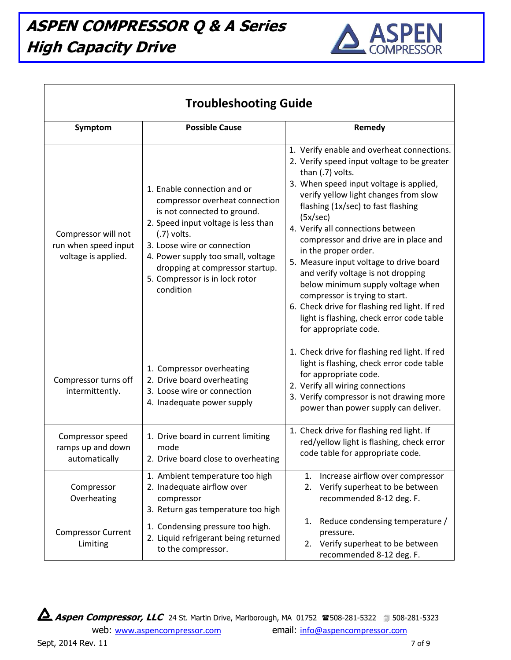

| <b>Troubleshooting Guide</b>                                       |                                                                                                                                                                                                                                                                                                             |                                                                                                                                                                                                                                                                                                                                                                                                                                                                                                                                                                                                                                          |  |  |  |
|--------------------------------------------------------------------|-------------------------------------------------------------------------------------------------------------------------------------------------------------------------------------------------------------------------------------------------------------------------------------------------------------|------------------------------------------------------------------------------------------------------------------------------------------------------------------------------------------------------------------------------------------------------------------------------------------------------------------------------------------------------------------------------------------------------------------------------------------------------------------------------------------------------------------------------------------------------------------------------------------------------------------------------------------|--|--|--|
| Symptom                                                            | <b>Possible Cause</b>                                                                                                                                                                                                                                                                                       | Remedy                                                                                                                                                                                                                                                                                                                                                                                                                                                                                                                                                                                                                                   |  |  |  |
| Compressor will not<br>run when speed input<br>voltage is applied. | 1. Enable connection and or<br>compressor overheat connection<br>is not connected to ground.<br>2. Speed input voltage is less than<br>$(.7)$ volts.<br>3. Loose wire or connection<br>4. Power supply too small, voltage<br>dropping at compressor startup.<br>5. Compressor is in lock rotor<br>condition | 1. Verify enable and overheat connections.<br>2. Verify speed input voltage to be greater<br>than (.7) volts.<br>3. When speed input voltage is applied,<br>verify yellow light changes from slow<br>flashing (1x/sec) to fast flashing<br>(5x/sec)<br>4. Verify all connections between<br>compressor and drive are in place and<br>in the proper order.<br>5. Measure input voltage to drive board<br>and verify voltage is not dropping<br>below minimum supply voltage when<br>compressor is trying to start.<br>6. Check drive for flashing red light. If red<br>light is flashing, check error code table<br>for appropriate code. |  |  |  |
| Compressor turns off<br>intermittently.                            | 1. Compressor overheating<br>2. Drive board overheating<br>3. Loose wire or connection<br>4. Inadequate power supply                                                                                                                                                                                        | 1. Check drive for flashing red light. If red<br>light is flashing, check error code table<br>for appropriate code.<br>2. Verify all wiring connections<br>3. Verify compressor is not drawing more<br>power than power supply can deliver.                                                                                                                                                                                                                                                                                                                                                                                              |  |  |  |
| Compressor speed<br>ramps up and down<br>automatically             | 1. Drive board in current limiting<br>mode<br>2. Drive board close to overheating                                                                                                                                                                                                                           | 1. Check drive for flashing red light. If<br>red/yellow light is flashing, check error<br>code table for appropriate code.                                                                                                                                                                                                                                                                                                                                                                                                                                                                                                               |  |  |  |
| Compressor<br>Overheating                                          | 1. Ambient temperature too high<br>2. Inadequate airflow over<br>compressor<br>3. Return gas temperature too high                                                                                                                                                                                           | Increase airflow over compressor<br>1.<br>Verify superheat to be between<br>2.<br>recommended 8-12 deg. F.                                                                                                                                                                                                                                                                                                                                                                                                                                                                                                                               |  |  |  |
| <b>Compressor Current</b><br>Limiting                              | 1. Condensing pressure too high.<br>2. Liquid refrigerant being returned<br>to the compressor.                                                                                                                                                                                                              | Reduce condensing temperature /<br>1.<br>pressure.<br>2. Verify superheat to be between<br>recommended 8-12 deg. F.                                                                                                                                                                                                                                                                                                                                                                                                                                                                                                                      |  |  |  |

**Aspen Compressor, LLC** 24 St. Martin Drive, Marlborough, MA 01752 @508-281-5322 1508-281-5323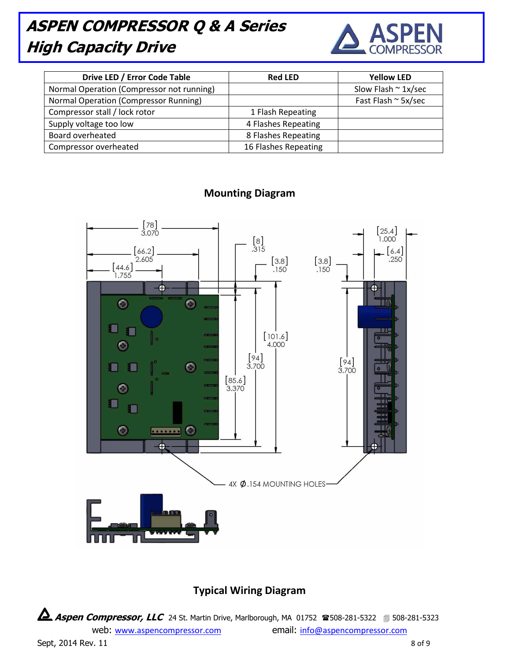

| Drive LED / Error Code Table              | <b>Red LED</b>       | <b>Yellow LED</b>           |
|-------------------------------------------|----------------------|-----------------------------|
| Normal Operation (Compressor not running) |                      | Slow Flash $\approx$ 1x/sec |
| Normal Operation (Compressor Running)     |                      | Fast Flash ~ 5x/sec         |
| Compressor stall / lock rotor             | 1 Flash Repeating    |                             |
| Supply voltage too low                    | 4 Flashes Repeating  |                             |
| Board overheated                          | 8 Flashes Repeating  |                             |
| Compressor overheated                     | 16 Flashes Repeating |                             |



### **Mounting Diagram**

### **Typical Wiring Diagram**

**Aspen Compressor, LLC** 24 St. Martin Drive, Marlborough, MA 01752 <sup>2</sup>8508-281-5322 **19** 508-281-5323

web: [www.aspencompressor.com](http://www.aspencompressor.com/) email: [info@aspencompressor.com](mailto:ckienzle@bellsouth.net)